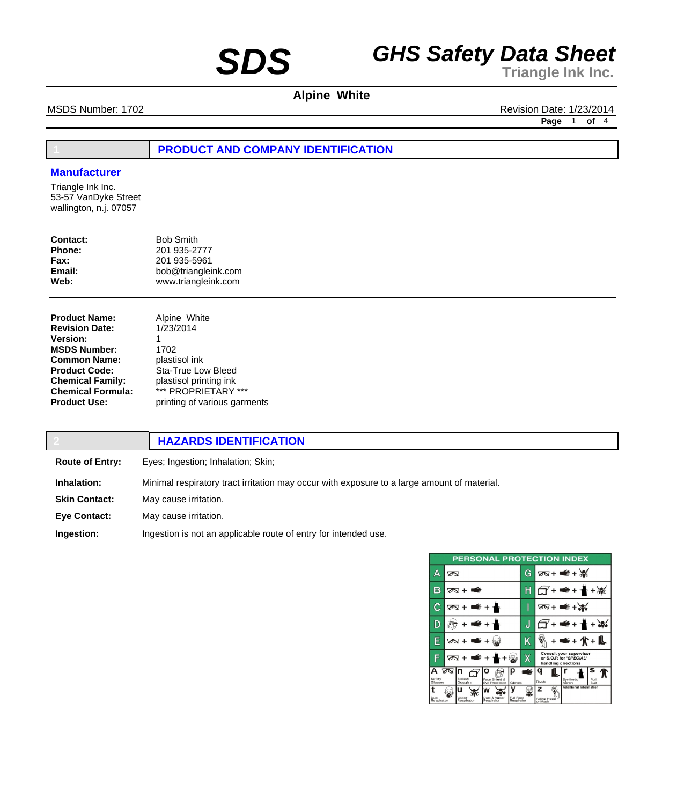# **Alpine White**

MSDS Number: 1702 **Revision Date: 1/23/2014** 

**Page** 1 **of** 4

# **1 PRODUCT AND COMPANY IDENTIFICATION**

### **Manufacturer**

Triangle Ink Inc. 53-57 VanDyke Street wallington, n.j. 07057

| Contact: | <b>Bob Smith</b>    |
|----------|---------------------|
| Phone:   | 201 935-2777        |
| Fax:     | 201 935-5961        |
| Email:   | bob@triangleink.com |
| Web:     | www.triangleink.com |
|          |                     |

| Alpine White<br>1/23/2014    |
|------------------------------|
| 1                            |
| 1702                         |
| plastisol ink                |
| Sta-True Low Bleed           |
| plastisol printing ink       |
| *** PROPRIETARY ***          |
| printing of various garments |
|                              |

|                        | <b>HAZARDS IDENTIFICATION</b>                                                               |
|------------------------|---------------------------------------------------------------------------------------------|
| <b>Route of Entry:</b> | Eyes; Ingestion; Inhalation; Skin;                                                          |
| Inhalation:            | Minimal respiratory tract irritation may occur with exposure to a large amount of material. |
| <b>Skin Contact:</b>   | May cause irritation.                                                                       |
| <b>Eye Contact:</b>    | May cause irritation.                                                                       |
| Ingestion:             | Ingestion is not an applicable route of entry for intended use.                             |

| <b>PERSONAL PROTECTION INDEX</b> |                            |                            |                         |                              |                                                    |              |
|----------------------------------|----------------------------|----------------------------|-------------------------|------------------------------|----------------------------------------------------|--------------|
| А                                | ∞                          |                            | G                       |                              | ष्ठ≺ + <del>≢</del> + ‰                            |              |
| в                                | ळ + क                      |                            | Н                       |                              | ∉+                                                 |              |
| С                                | क्र + ≢ + ≁                |                            |                         |                              | 2⊼+ <del>=</del> +≿                                |              |
| D                                | €+                         |                            | J                       |                              | €+                                                 |              |
| E                                | É+<br>তঅ +                 | too                        | Κ                       |                              |                                                    |              |
| F                                | $\sqrt{2}$ + 1<br>œ        |                            | Χ                       | handling directions          | Consult your supervisor<br>or S.O.P. for "SPECIAL" |              |
| А<br>Safety<br>Glasses           | তে In<br>Splash<br>Goggles | о<br>Face Shield &         | €<br>Gloves             | Boots                        | Synthetic<br>Apron                                 | Full<br>Suit |
| Dust<br>Respirator               | ''<br>Vapor<br>Respirator  | Dust & Vapor<br>Respirator | Full Face<br>Respirator | z<br>Airline Hood<br>or Mask | Additional Information                             |              |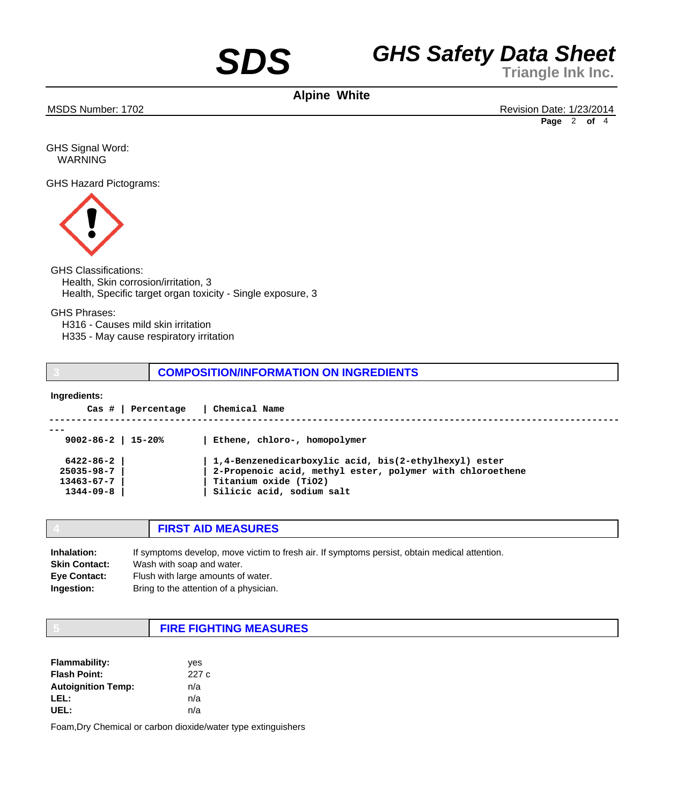**Alpine White**

MSDS Number: 1702 Revision Date: 1/23/2014 **Page** 2 **of** 4

GHS Signal Word: WARNING

GHS Hazard Pictograms:



## GHS Classifications:

 Health, Skin corrosion/irritation, 3 Health, Specific target organ toxicity - Single exposure, 3

GHS Phrases:

 H316 - Causes mild skin irritation

 H335 - May cause respiratory irritation

**3 COMPOSITION/INFORMATION ON INGREDIENTS**

### **Ingredients:**

| Cas #<br>Percentage      | Chemical Name                                             |
|--------------------------|-----------------------------------------------------------|
|                          |                                                           |
| $9002 - 86 - 2$   15-20% | Ethene, chloro-, homopolymer                              |
| $6422 - 86 - 2$          | 1,4-Benzenedicarboxylic acid, bis(2-ethylhexyl) ester     |
| $25035 - 98 - 7$         | 2-Propenoic acid, methyl ester, polymer with chloroethene |
| $13463 - 67 - 7$         | Titanium oxide (TiO2)                                     |
| $1344 - 09 - 8$          | Silicic acid, sodium salt                                 |
|                          |                                                           |

|  | <b>FIRST AID MEASURES</b> |
|--|---------------------------|
|--|---------------------------|

| Inhalation:          | If symptoms develop, move victim to fresh air. If symptoms persist, obtain medical attention. |
|----------------------|-----------------------------------------------------------------------------------------------|
| <b>Skin Contact:</b> | Wash with soap and water.                                                                     |
| <b>Eye Contact:</b>  | Flush with large amounts of water.                                                            |
| <b>Ingestion:</b>    | Bring to the attention of a physician.                                                        |

# **5 FIRE FIGHTING MEASURES**

| <b>Flammability:</b>      | yes  |
|---------------------------|------|
| <b>Flash Point:</b>       | 227c |
| <b>Autoignition Temp:</b> | n/a  |
| LEL:                      | n/a  |
| UEL:                      | n/a  |

Foam,Dry Chemical or carbon dioxide/water type extinguishers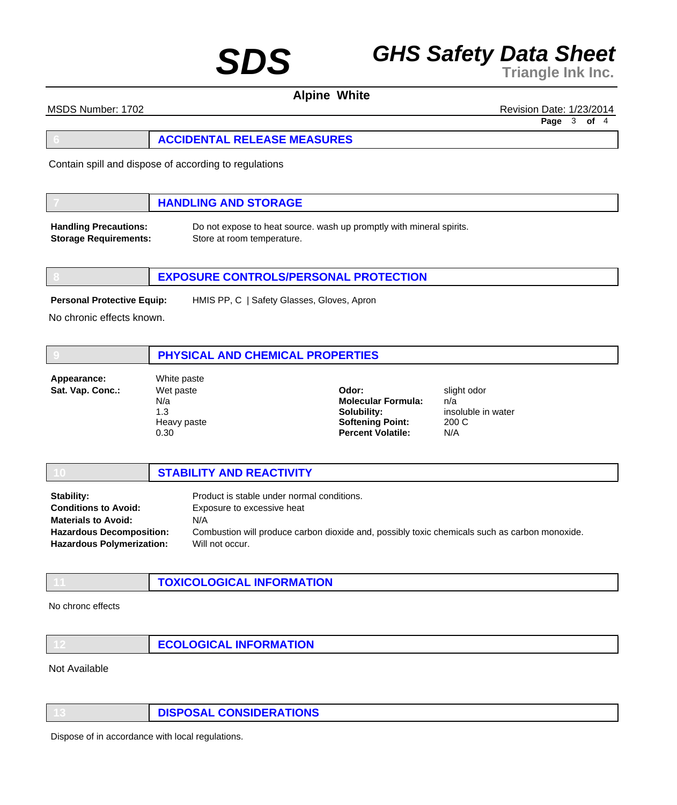**Alpine White**

MSDS Number: 1702 Revision Date: 1/23/2014

**Page** 3 **of** 4

Contain spill and dispose of according to regulations

## **7 HANDLING AND STORAGE**

**Handling Precautions: Storage Requirements:** Do not expose to heat source. wash up promptly with mineral spirits. Store at room temperature.

## **8 EXPOSURE CONTROLS/PERSONAL PROTECTION**

**Personal Protective Equip:**

HMIS PP, C | Safety Glasses, Gloves, Apron

No chronic effects known.

|                                 | PHYSICAL AND CHEMICAL PROPERTIES                              |                                                                                                          |                                                          |  |
|---------------------------------|---------------------------------------------------------------|----------------------------------------------------------------------------------------------------------|----------------------------------------------------------|--|
| Appearance:<br>Sat. Vap. Conc.: | White paste<br>Wet paste<br>N/a<br>1.3<br>Heavy paste<br>0.30 | Odor:<br><b>Molecular Formula:</b><br>Solubility:<br><b>Softening Point:</b><br><b>Percent Volatile:</b> | slight odor<br>n/a<br>insoluble in water<br>200 C<br>N/A |  |

|                                  | <b>STABILITY AND REACTIVITY</b>                                                               |
|----------------------------------|-----------------------------------------------------------------------------------------------|
| Stability:                       | Product is stable under normal conditions.                                                    |
| <b>Conditions to Avoid:</b>      | Exposure to excessive heat                                                                    |
| <b>Materials to Avoid:</b>       | N/A                                                                                           |
| <b>Hazardous Decomposition:</b>  | Combustion will produce carbon dioxide and, possibly toxic chemicals such as carbon monoxide. |
| <b>Hazardous Polymerization:</b> | Will not occur.                                                                               |

| <b>TOXICOLOGICAL INFORMATION</b> |
|----------------------------------|
|                                  |

### No chronc effects

| ECOLOGICAL INFORMATION |
|------------------------|
|------------------------|

Not Available

**13 DISPOSAL CONSIDERATIONS**

Dispose of in accordance with local regulations.